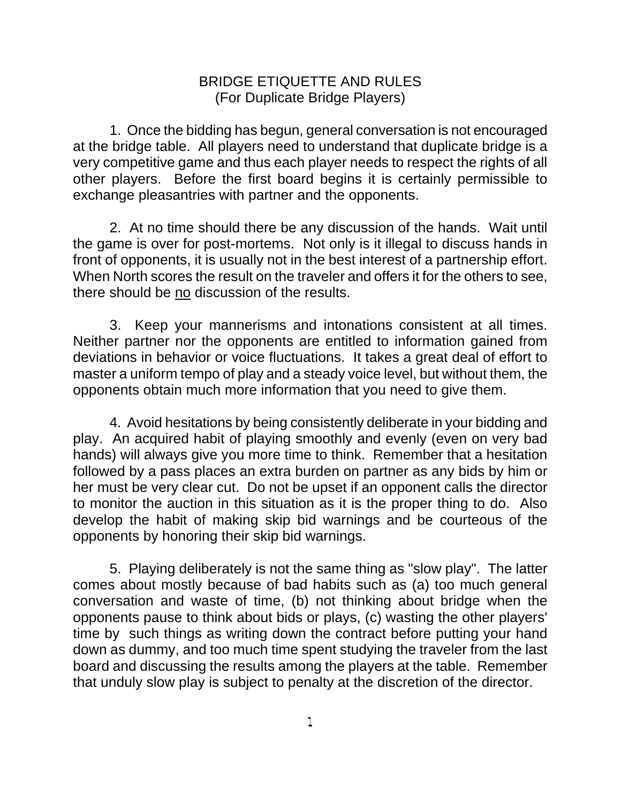## BRIDGE ETIQUETTE AND RULES (For Duplicate Bridge Players)

1. Once the bidding has begun, general conversation is not encouraged at the bridge table. All players need to understand that duplicate bridge is a very competitive game and thus each player needs to respect the rights of all other players. Before the first board begins it is certainly permissible to exchange pleasantries with partner and the opponents.

2. At no time should there be any discussion of the hands. Wait until the game is over for post-mortems. Not only is it illegal to discuss hands in front of opponents, it is usually not in the best interest of a partnership effort. When North scores the result on the traveler and offers it for the others to see, there should be no discussion of the results.

3. Keep your mannerisms and intonations consistent at all times. Neither partner nor the opponents are entitled to information gained from deviations in behavior or voice fluctuations. It takes a great deal of effort to master a uniform tempo of play and a steady voice level, but without them, the opponents obtain much more information that you need to give them.

4. Avoid hesitations by being consistently deliberate in your bidding and play. An acquired habit of playing smoothly and evenly (even on very bad hands) will always give you more time to think. Remember that a hesitation followed by a pass places an extra burden on partner as any bids by him or her must be very clear cut. Do not be upset if an opponent calls the director to monitor the auction in this situation as it is the proper thing to do. Also develop the habit of making skip bid warnings and be courteous of the opponents by honoring their skip bid warnings.

5. Playing deliberately is not the same thing as "slow play". The latter comes about mostly because of bad habits such as (a) too much general conversation and waste of time, (b) not thinking about bridge when the opponents pause to think about bids or plays, (c) wasting the other players' time by such things as writing down the contract before putting your hand down as dummy, and too much time spent studying the traveler from the last board and discussing the results among the players at the table. Remember that unduly slow play is subject to penalty at the discretion of the director.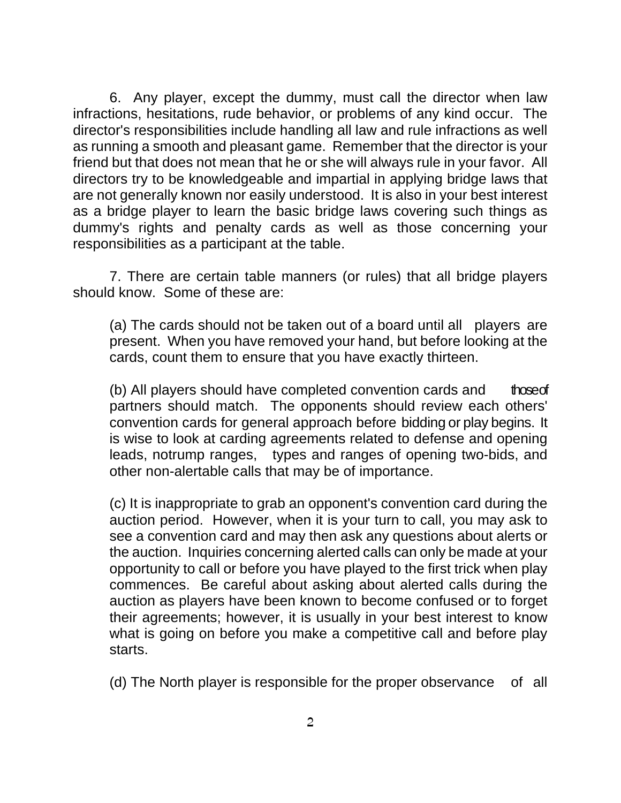6. Any player, except the dummy, must call the director when law infractions, hesitations, rude behavior, or problems of any kind occur. The director's responsibilities include handling all law and rule infractions as well as running a smooth and pleasant game. Remember that the director is your friend but that does not mean that he or she will always rule in your favor. All directors try to be knowledgeable and impartial in applying bridge laws that are not generally known nor easily understood. It is also in your best interest as a bridge player to learn the basic bridge laws covering such things as dummy's rights and penalty cards as well as those concerning your responsibilities as a participant at the table.

7. There are certain table manners (or rules) that all bridge players should know. Some of these are:

(a) The cards should not be taken out of a board until all players are present. When you have removed your hand, but before looking at the cards, count them to ensure that you have exactly thirteen.

(b) All players should have completed convention cards and those of partners should match. The opponents should review each others' convention cards for general approach before bidding or play begins. It is wise to look at carding agreements related to defense and opening leads, notrump ranges, types and ranges of opening two-bids, and other non-alertable calls that may be of importance.

(c) It is inappropriate to grab an opponent's convention card during the auction period. However, when it is your turn to call, you may ask to see a convention card and may then ask any questions about alerts or the auction. Inquiries concerning alerted calls can only be made at your opportunity to call or before you have played to the first trick when play commences. Be careful about asking about alerted calls during the auction as players have been known to become confused or to forget their agreements; however, it is usually in your best interest to know what is going on before you make a competitive call and before play starts.

(d) The North player is responsible for the proper observance of all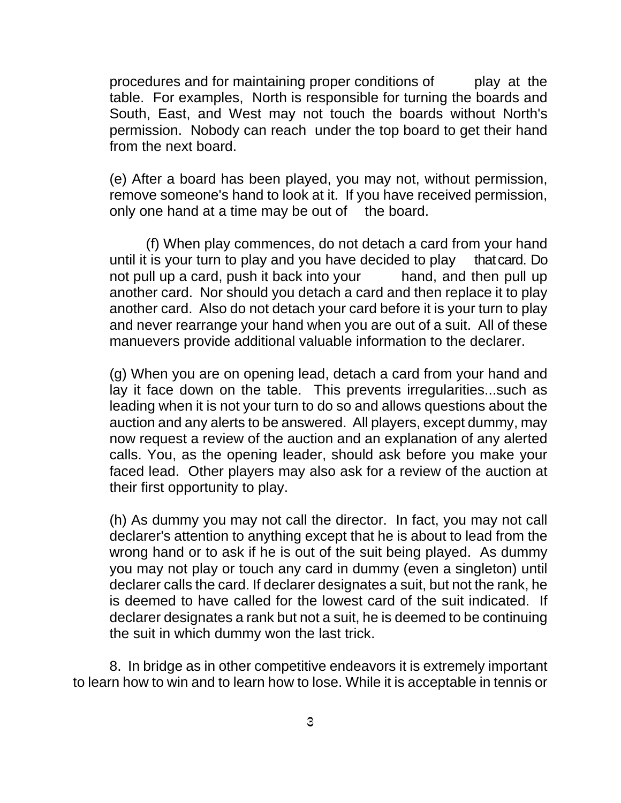procedures and for maintaining proper conditions of play at the table. For examples, North is responsible for turning the boards and South, East, and West may not touch the boards without North's permission. Nobody can reach under the top board to get their hand from the next board.

(e) After a board has been played, you may not, without permission, remove someone's hand to look at it. If you have received permission, only one hand at a time may be out of the board.

(f) When play commences, do not detach a card from your hand until it is your turn to play and you have decided to play that card. Do not pull up a card, push it back into your hand, and then pull up another card. Nor should you detach a card and then replace it to play another card. Also do not detach your card before it is your turn to play and never rearrange your hand when you are out of a suit. All of these manuevers provide additional valuable information to the declarer.

(g) When you are on opening lead, detach a card from your hand and lay it face down on the table. This prevents irregularities...such as leading when it is not your turn to do so and allows questions about the auction and any alerts to be answered. All players, except dummy, may now request a review of the auction and an explanation of any alerted calls. You, as the opening leader, should ask before you make your faced lead. Other players may also ask for a review of the auction at their first opportunity to play.

(h) As dummy you may not call the director. In fact, you may not call declarer's attention to anything except that he is about to lead from the wrong hand or to ask if he is out of the suit being played. As dummy you may not play or touch any card in dummy (even a singleton) until declarer calls the card. If declarer designates a suit, but not the rank, he is deemed to have called for the lowest card of the suit indicated. If declarer designates a rank but not a suit, he is deemed to be continuing the suit in which dummy won the last trick.

8. In bridge as in other competitive endeavors it is extremely important to learn how to win and to learn how to lose. While it is acceptable in tennis or